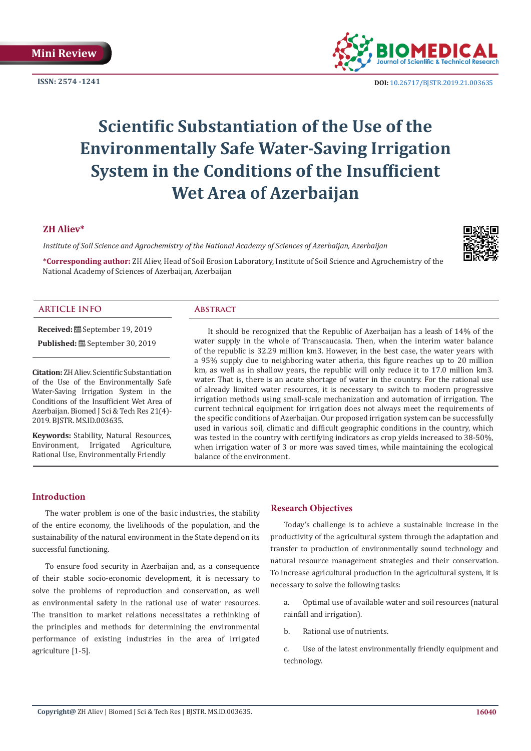**ISSN: 2574 -1241**



 **DOI:** [10.26717/BJSTR.2019.21.003635](http://dx.doi.org/10.26717/BJSTR.2019.21.003635)

# **Scientific Substantiation of the Use of the Environmentally Safe Water-Saving Irrigation System in the Conditions of the Insufficient Wet Area of Azerbaijan**

# **ZH Aliev\***

*Institute of Soil Science and Agrochemistry of the National Academy of Sciences of Azerbaijan, Azerbaijan*

**\*Corresponding author:** ZH Aliev, Head of Soil Erosion Laboratory, Institute of Soil Science and Agrochemistry of the National Academy of Sciences of Azerbaijan, Azerbaijan

#### **ARTICLE INFO Abstract**

**Received:** September 19, 2019

Published: <sup>[9]</sup> September 30, 2019

**Citation:** ZH Aliev. Scientific Substantiation of the Use of the Environmentally Safe Water-Saving Irrigation System in the Conditions of the Insufficient Wet Area of Azerbaijan. Biomed J Sci & Tech Res 21(4)- 2019. BJSTR. MS.ID.003635.

**Keywords:** Stability, Natural Resources, Environment, Irrigated Agriculture, Rational Use, Environmentally Friendly

It should be recognized that the Republic of Azerbaijan has a leash of 14% of the water supply in the whole of Transcaucasia. Then, when the interim water balance of the republic is 32.29 million km3. However, in the best case, the water years with a 95% supply due to neighboring water atheria, this figure reaches up to 20 million km, as well as in shallow years, the republic will only reduce it to 17.0 million km3. water. That is, there is an acute shortage of water in the country. For the rational use of already limited water resources, it is necessary to switch to modern progressive irrigation methods using small-scale mechanization and automation of irrigation. The current technical equipment for irrigation does not always meet the requirements of the specific conditions of Azerbaijan. Our proposed irrigation system can be successfully used in various soil, climatic and difficult geographic conditions in the country, which was tested in the country with certifying indicators as crop yields increased to 38-50%, when irrigation water of 3 or more was saved times, while maintaining the ecological balance of the environment.

# **Introduction**

The water problem is one of the basic industries, the stability of the entire economy, the livelihoods of the population, and the sustainability of the natural environment in the State depend on its successful functioning.

To ensure food security in Azerbaijan and, as a consequence of their stable socio-economic development, it is necessary to solve the problems of reproduction and conservation, as well as environmental safety in the rational use of water resources. The transition to market relations necessitates a rethinking of the principles and methods for determining the environmental performance of existing industries in the area of irrigated agriculture [1-5].

# **Research Objectives**

Today's challenge is to achieve a sustainable increase in the productivity of the agricultural system through the adaptation and transfer to production of environmentally sound technology and natural resource management strategies and their conservation. To increase agricultural production in the agricultural system, it is necessary to solve the following tasks:

a. Optimal use of available water and soil resources (natural rainfall and irrigation).

b. Rational use of nutrients.

c. Use of the latest environmentally friendly equipment and technology.

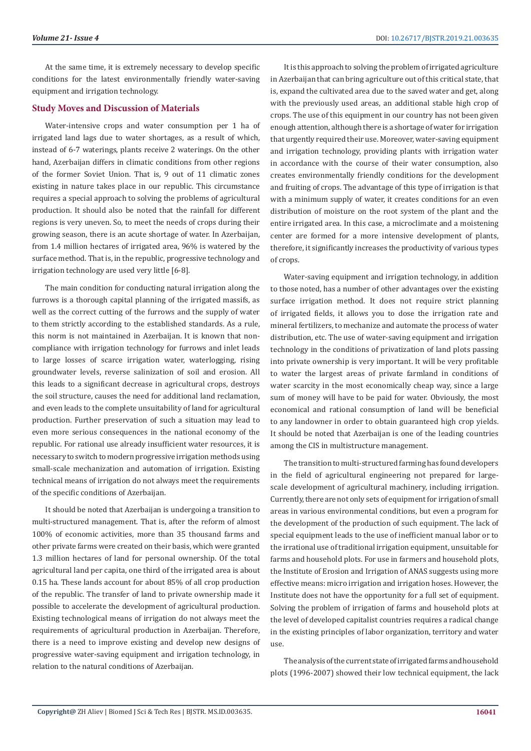At the same time, it is extremely necessary to develop specific conditions for the latest environmentally friendly water-saving equipment and irrigation technology.

#### **Study Moves and Discussion of Materials**

Water-intensive crops and water consumption per 1 ha of irrigated land lags due to water shortages, as a result of which, instead of 6-7 waterings, plants receive 2 waterings. On the other hand, Azerbaijan differs in climatic conditions from other regions of the former Soviet Union. That is, 9 out of 11 climatic zones existing in nature takes place in our republic. This circumstance requires a special approach to solving the problems of agricultural production. It should also be noted that the rainfall for different regions is very uneven. So, to meet the needs of crops during their growing season, there is an acute shortage of water. In Azerbaijan, from 1.4 million hectares of irrigated area, 96% is watered by the surface method. That is, in the republic, progressive technology and irrigation technology are used very little [6-8].

The main condition for conducting natural irrigation along the furrows is a thorough capital planning of the irrigated massifs, as well as the correct cutting of the furrows and the supply of water to them strictly according to the established standards. As a rule, this norm is not maintained in Azerbaijan. It is known that noncompliance with irrigation technology for furrows and inlet leads to large losses of scarce irrigation water, waterlogging, rising groundwater levels, reverse salinization of soil and erosion. All this leads to a significant decrease in agricultural crops, destroys the soil structure, causes the need for additional land reclamation, and even leads to the complete unsuitability of land for agricultural production. Further preservation of such a situation may lead to even more serious consequences in the national economy of the republic. For rational use already insufficient water resources, it is necessary to switch to modern progressive irrigation methods using small-scale mechanization and automation of irrigation. Existing technical means of irrigation do not always meet the requirements of the specific conditions of Azerbaijan.

It should be noted that Azerbaijan is undergoing a transition to multi-structured management. That is, after the reform of almost 100% of economic activities, more than 35 thousand farms and other private farms were created on their basis, which were granted 1.3 million hectares of land for personal ownership. Of the total agricultural land per capita, one third of the irrigated area is about 0.15 ha. These lands account for about 85% of all crop production of the republic. The transfer of land to private ownership made it possible to accelerate the development of agricultural production. Existing technological means of irrigation do not always meet the requirements of agricultural production in Azerbaijan. Therefore, there is a need to improve existing and develop new designs of progressive water-saving equipment and irrigation technology, in relation to the natural conditions of Azerbaijan.

It is this approach to solving the problem of irrigated agriculture in Azerbaijan that can bring agriculture out of this critical state, that is, expand the cultivated area due to the saved water and get, along with the previously used areas, an additional stable high crop of crops. The use of this equipment in our country has not been given enough attention, although there is a shortage of water for irrigation that urgently required their use. Moreover, water-saving equipment and irrigation technology, providing plants with irrigation water in accordance with the course of their water consumption, also creates environmentally friendly conditions for the development and fruiting of crops. The advantage of this type of irrigation is that with a minimum supply of water, it creates conditions for an even distribution of moisture on the root system of the plant and the entire irrigated area. In this case, a microclimate and a moistening center are formed for a more intensive development of plants, therefore, it significantly increases the productivity of various types of crops.

Water-saving equipment and irrigation technology, in addition to those noted, has a number of other advantages over the existing surface irrigation method. It does not require strict planning of irrigated fields, it allows you to dose the irrigation rate and mineral fertilizers, to mechanize and automate the process of water distribution, etc. The use of water-saving equipment and irrigation technology in the conditions of privatization of land plots passing into private ownership is very important. It will be very profitable to water the largest areas of private farmland in conditions of water scarcity in the most economically cheap way, since a large sum of money will have to be paid for water. Obviously, the most economical and rational consumption of land will be beneficial to any landowner in order to obtain guaranteed high crop yields. It should be noted that Azerbaijan is one of the leading countries among the CIS in multistructure management.

The transition to multi-structured farming has found developers in the field of agricultural engineering not prepared for largescale development of agricultural machinery, including irrigation. Currently, there are not only sets of equipment for irrigation of small areas in various environmental conditions, but even a program for the development of the production of such equipment. The lack of special equipment leads to the use of inefficient manual labor or to the irrational use of traditional irrigation equipment, unsuitable for farms and household plots. For use in farmers and household plots, the Institute of Erosion and Irrigation of ANAS suggests using more effective means: micro irrigation and irrigation hoses. However, the Institute does not have the opportunity for a full set of equipment. Solving the problem of irrigation of farms and household plots at the level of developed capitalist countries requires a radical change in the existing principles of labor organization, territory and water use.

The analysis of the current state of irrigated farms and household plots (1996-2007) showed their low technical equipment, the lack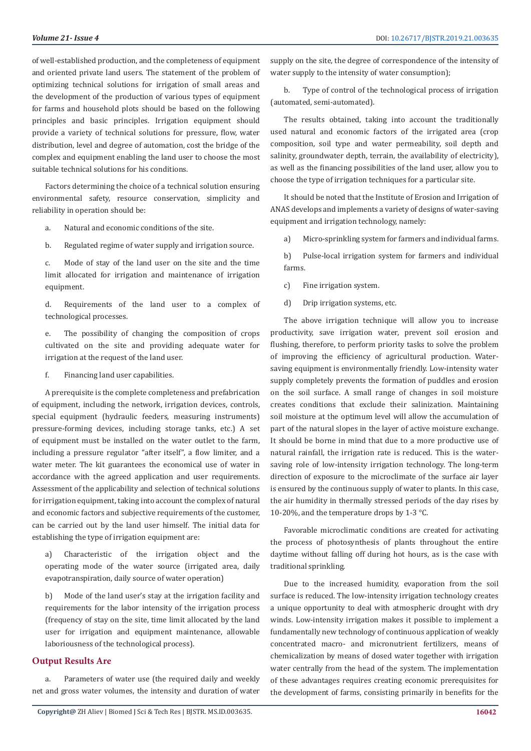of well-established production, and the completeness of equipment and oriented private land users. The statement of the problem of optimizing technical solutions for irrigation of small areas and the development of the production of various types of equipment for farms and household plots should be based on the following principles and basic principles. Irrigation equipment should provide a variety of technical solutions for pressure, flow, water distribution, level and degree of automation, cost the bridge of the complex and equipment enabling the land user to choose the most suitable technical solutions for his conditions.

Factors determining the choice of a technical solution ensuring environmental safety, resource conservation, simplicity and reliability in operation should be:

a. Natural and economic conditions of the site.

b. Regulated regime of water supply and irrigation source.

c. Mode of stay of the land user on the site and the time limit allocated for irrigation and maintenance of irrigation equipment.

d. Requirements of the land user to a complex of technological processes.

e. The possibility of changing the composition of crops cultivated on the site and providing adequate water for irrigation at the request of the land user.

f. Financing land user capabilities.

A prerequisite is the complete completeness and prefabrication of equipment, including the network, irrigation devices, controls, special equipment (hydraulic feeders, measuring instruments) pressure-forming devices, including storage tanks, etc.) A set of equipment must be installed on the water outlet to the farm, including a pressure regulator "after itself", a flow limiter, and a water meter. The kit guarantees the economical use of water in accordance with the agreed application and user requirements. Assessment of the applicability and selection of technical solutions for irrigation equipment, taking into account the complex of natural and economic factors and subjective requirements of the customer, can be carried out by the land user himself. The initial data for establishing the type of irrigation equipment are:

a) Characteristic of the irrigation object and the operating mode of the water source (irrigated area, daily evapotranspiration, daily source of water operation)

b) Mode of the land user's stay at the irrigation facility and requirements for the labor intensity of the irrigation process (frequency of stay on the site, time limit allocated by the land user for irrigation and equipment maintenance, allowable laboriousness of the technological process).

# **Output Results Are**

Parameters of water use (the required daily and weekly net and gross water volumes, the intensity and duration of water supply on the site, the degree of correspondence of the intensity of water supply to the intensity of water consumption);

b. Type of control of the technological process of irrigation (automated, semi-automated).

The results obtained, taking into account the traditionally used natural and economic factors of the irrigated area (crop composition, soil type and water permeability, soil depth and salinity, groundwater depth, terrain, the availability of electricity), as well as the financing possibilities of the land user, allow you to choose the type of irrigation techniques for a particular site.

It should be noted that the Institute of Erosion and Irrigation of ANAS develops and implements a variety of designs of water-saving equipment and irrigation technology, namely:

a) Micro-sprinkling system for farmers and individual farms.

b) Pulse-local irrigation system for farmers and individual farms.

c) Fine irrigation system.

d) Drip irrigation systems, etc.

The above irrigation technique will allow you to increase productivity, save irrigation water, prevent soil erosion and flushing, therefore, to perform priority tasks to solve the problem of improving the efficiency of agricultural production. Watersaving equipment is environmentally friendly. Low-intensity water supply completely prevents the formation of puddles and erosion on the soil surface. A small range of changes in soil moisture creates conditions that exclude their salinization. Maintaining soil moisture at the optimum level will allow the accumulation of part of the natural slopes in the layer of active moisture exchange. It should be borne in mind that due to a more productive use of natural rainfall, the irrigation rate is reduced. This is the watersaving role of low-intensity irrigation technology. The long-term direction of exposure to the microclimate of the surface air layer is ensured by the continuous supply of water to plants. In this case, the air humidity in thermally stressed periods of the day rises by 10-20%, and the temperature drops by 1-3  $^{\circ}$ C.

Favorable microclimatic conditions are created for activating the process of photosynthesis of plants throughout the entire daytime without falling off during hot hours, as is the case with traditional sprinkling.

Due to the increased humidity, evaporation from the soil surface is reduced. The low-intensity irrigation technology creates a unique opportunity to deal with atmospheric drought with dry winds. Low-intensity irrigation makes it possible to implement a fundamentally new technology of continuous application of weakly concentrated macro- and micronutrient fertilizers, means of chemicalization by means of dosed water together with irrigation water centrally from the head of the system. The implementation of these advantages requires creating economic prerequisites for the development of farms, consisting primarily in benefits for the